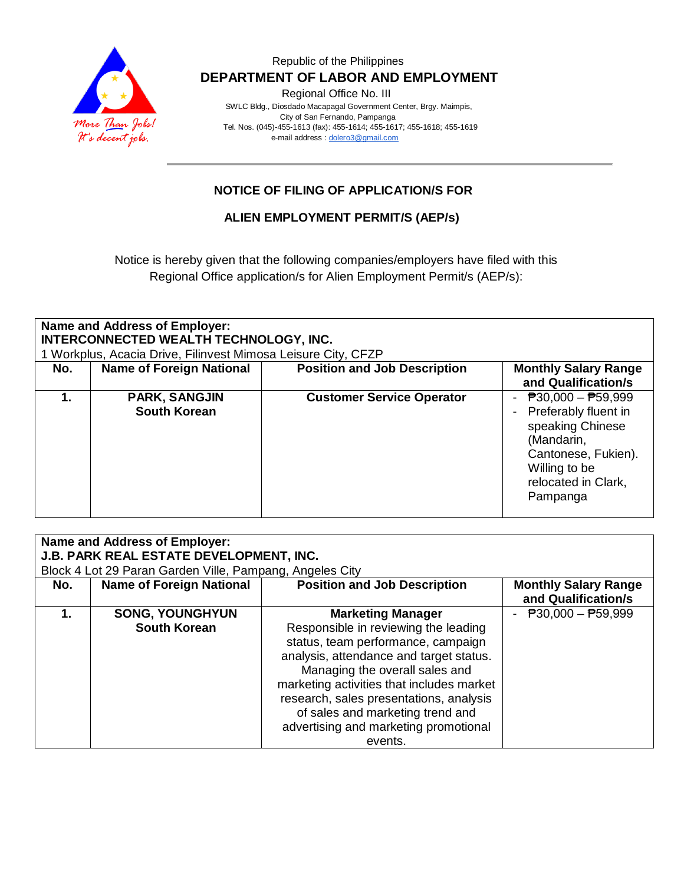

Regional Office No. III

 SWLC Bldg., Diosdado Macapagal Government Center, Brgy. Maimpis, City of San Fernando, Pampanga Tel. Nos. (045)-455-1613 (fax): 455-1614; 455-1617; 455-1618; 455-1619 e-mail address [: dolero3@gmail.com](mailto:dolero3@gmail.com)

# **NOTICE OF FILING OF APPLICATION/S FOR**

## **ALIEN EMPLOYMENT PERMIT/S (AEP/s)**

Notice is hereby given that the following companies/employers have filed with this Regional Office application/s for Alien Employment Permit/s (AEP/s):

| <b>Name and Address of Employer:</b><br>INTERCONNECTED WEALTH TECHNOLOGY, INC.<br>1 Workplus, Acacia Drive, Filinvest Mimosa Leisure City, CFZP |                                             |                                     |                                                                                                                                                              |  |
|-------------------------------------------------------------------------------------------------------------------------------------------------|---------------------------------------------|-------------------------------------|--------------------------------------------------------------------------------------------------------------------------------------------------------------|--|
| No.                                                                                                                                             | <b>Name of Foreign National</b>             | <b>Position and Job Description</b> | <b>Monthly Salary Range</b><br>and Qualification/s                                                                                                           |  |
|                                                                                                                                                 | <b>PARK, SANGJIN</b><br><b>South Korean</b> | <b>Customer Service Operator</b>    | - $P30,000 - P59,999$<br>- Preferably fluent in<br>speaking Chinese<br>(Mandarin,<br>Cantonese, Fukien).<br>Willing to be<br>relocated in Clark,<br>Pampanga |  |

| <b>Name and Address of Employer:</b><br>J.B. PARK REAL ESTATE DEVELOPMENT, INC. |                                                          |                                           |                                                    |
|---------------------------------------------------------------------------------|----------------------------------------------------------|-------------------------------------------|----------------------------------------------------|
|                                                                                 | Block 4 Lot 29 Paran Garden Ville, Pampang, Angeles City |                                           |                                                    |
| No.                                                                             | <b>Name of Foreign National</b>                          | <b>Position and Job Description</b>       | <b>Monthly Salary Range</b><br>and Qualification/s |
| 1.                                                                              | <b>SONG, YOUNGHYUN</b>                                   | <b>Marketing Manager</b>                  | - $P30,000 - P59,999$                              |
|                                                                                 | <b>South Korean</b>                                      | Responsible in reviewing the leading      |                                                    |
|                                                                                 |                                                          | status, team performance, campaign        |                                                    |
|                                                                                 |                                                          | analysis, attendance and target status.   |                                                    |
|                                                                                 |                                                          | Managing the overall sales and            |                                                    |
|                                                                                 |                                                          | marketing activities that includes market |                                                    |
|                                                                                 |                                                          | research, sales presentations, analysis   |                                                    |
|                                                                                 |                                                          | of sales and marketing trend and          |                                                    |
|                                                                                 |                                                          | advertising and marketing promotional     |                                                    |
|                                                                                 |                                                          | events.                                   |                                                    |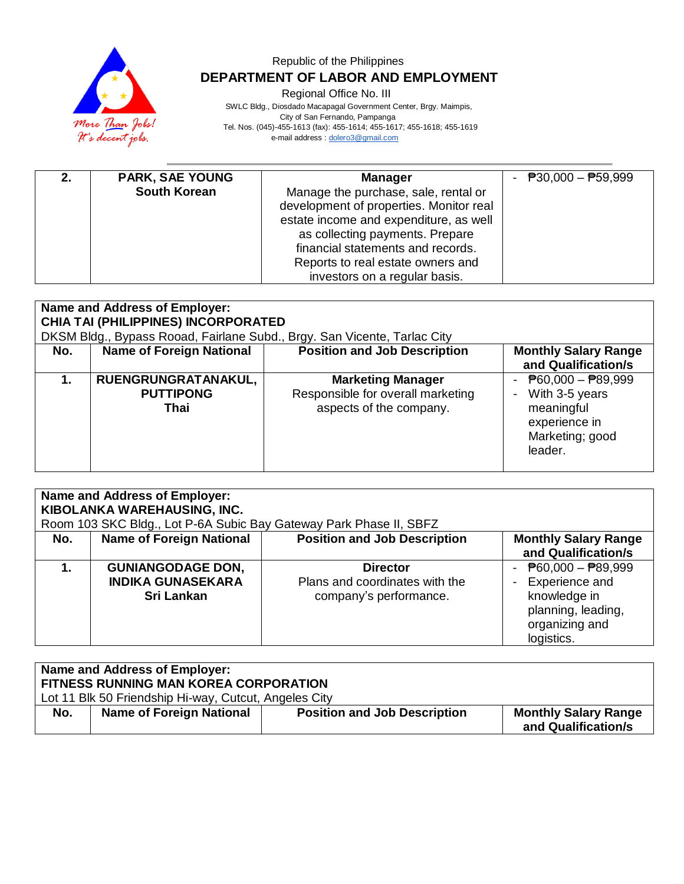

Regional Office No. III

 SWLC Bldg., Diosdado Macapagal Government Center, Brgy. Maimpis, City of San Fernando, Pampanga Tel. Nos. (045)-455-1613 (fax): 455-1614; 455-1617; 455-1618; 455-1619 e-mail address [: dolero3@gmail.com](mailto:dolero3@gmail.com)

| 2. | <b>PARK, SAE YOUNG</b> | <b>Manager</b>                                                                                                                                                                                                                                                          | - $P30,000 - P59,999$ |
|----|------------------------|-------------------------------------------------------------------------------------------------------------------------------------------------------------------------------------------------------------------------------------------------------------------------|-----------------------|
|    | <b>South Korean</b>    | Manage the purchase, sale, rental or<br>development of properties. Monitor real<br>estate income and expenditure, as well<br>as collecting payments. Prepare<br>financial statements and records.<br>Reports to real estate owners and<br>investors on a regular basis. |                       |

| Name and Address of Employer:<br><b>CHIA TAI (PHILIPPINES) INCORPORATED</b>                                                                                                                                     |                                                 |                                                                                          |                                                                                                                          |  |
|-----------------------------------------------------------------------------------------------------------------------------------------------------------------------------------------------------------------|-------------------------------------------------|------------------------------------------------------------------------------------------|--------------------------------------------------------------------------------------------------------------------------|--|
| DKSM Bldg., Bypass Rooad, Fairlane Subd., Brgy. San Vicente, Tarlac City<br><b>Position and Job Description</b><br><b>Name of Foreign National</b><br><b>Monthly Salary Range</b><br>No.<br>and Qualification/s |                                                 |                                                                                          |                                                                                                                          |  |
| 1.                                                                                                                                                                                                              | RUENGRUNGRATANAKUL,<br><b>PUTTIPONG</b><br>Thai | <b>Marketing Manager</b><br>Responsible for overall marketing<br>aspects of the company. | $\overline{P}60,000 - \overline{P}89,999$<br>With 3-5 years<br>meaningful<br>experience in<br>Marketing; good<br>leader. |  |

| Name and Address of Employer:<br>KIBOLANKA WAREHAUSING, INC.<br>Room 103 SKC Bldg., Lot P-6A Subic Bay Gateway Park Phase II, SBFZ |                                                                           |                                                                             |                                                                                                                                     |
|------------------------------------------------------------------------------------------------------------------------------------|---------------------------------------------------------------------------|-----------------------------------------------------------------------------|-------------------------------------------------------------------------------------------------------------------------------------|
| No.                                                                                                                                | <b>Name of Foreign National</b>                                           | <b>Position and Job Description</b>                                         | <b>Monthly Salary Range</b><br>and Qualification/s                                                                                  |
|                                                                                                                                    | <b>GUNIANGODAGE DON,</b><br><b>INDIKA GUNASEKARA</b><br><b>Sri Lankan</b> | <b>Director</b><br>Plans and coordinates with the<br>company's performance. | - $\overline{P}60,000 - \overline{P}89,999$<br>Experience and<br>knowledge in<br>planning, leading,<br>organizing and<br>logistics. |

| Name and Address of Employer: |                                                                                                |                                     |                                                    |  |
|-------------------------------|------------------------------------------------------------------------------------------------|-------------------------------------|----------------------------------------------------|--|
|                               | FITNESS RUNNING MAN KOREA CORPORATION<br>Lot 11 Blk 50 Friendship Hi-way, Cutcut, Angeles City |                                     |                                                    |  |
| No.                           | <b>Name of Foreign National</b>                                                                | <b>Position and Job Description</b> | <b>Monthly Salary Range</b><br>and Qualification/s |  |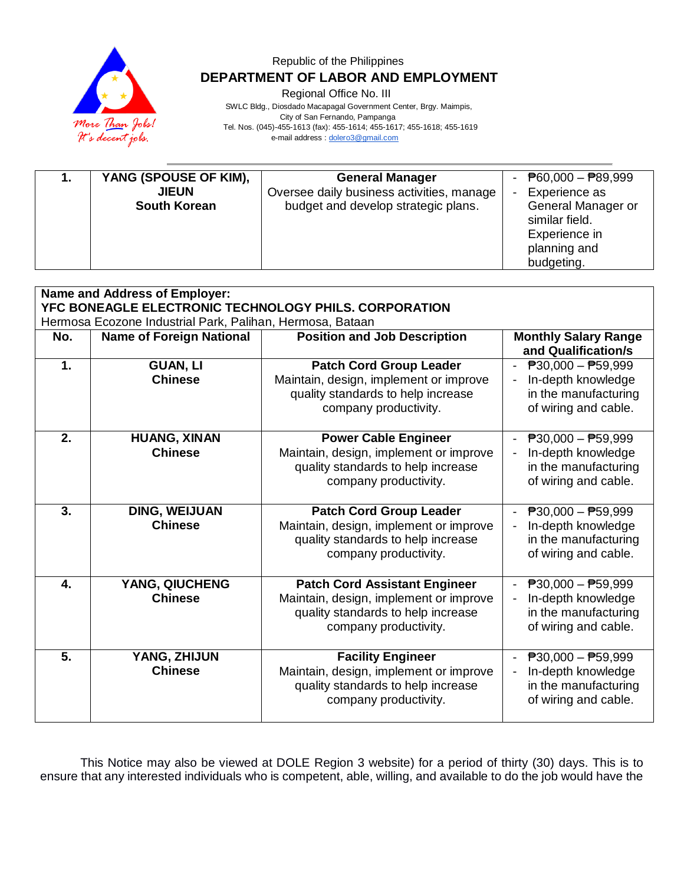

Regional Office No. III

 SWLC Bldg., Diosdado Macapagal Government Center, Brgy. Maimpis, City of San Fernando, Pampanga Tel. Nos. (045)-455-1613 (fax): 455-1614; 455-1617; 455-1618; 455-1619 e-mail address [: dolero3@gmail.com](mailto:dolero3@gmail.com)

| YANG (SPOUSE OF KIM),<br>ъ.<br><b>JIEUN</b><br><b>South Korean</b> | <b>General Manager</b><br>- $\overline{P}60,000 - \overline{P}89,999$<br>Oversee daily business activities, manage<br>Experience as<br>-<br>General Manager or<br>budget and develop strategic plans.<br>similar field.<br>Experience in<br>planning and<br>budgeting. |
|--------------------------------------------------------------------|------------------------------------------------------------------------------------------------------------------------------------------------------------------------------------------------------------------------------------------------------------------------|
|--------------------------------------------------------------------|------------------------------------------------------------------------------------------------------------------------------------------------------------------------------------------------------------------------------------------------------------------------|

| Name and Address of Employer:                         |                                                           |                                                                                                                                               |                                                                                                                 |  |  |
|-------------------------------------------------------|-----------------------------------------------------------|-----------------------------------------------------------------------------------------------------------------------------------------------|-----------------------------------------------------------------------------------------------------------------|--|--|
| YFC BONEAGLE ELECTRONIC TECHNOLOGY PHILS, CORPORATION |                                                           |                                                                                                                                               |                                                                                                                 |  |  |
|                                                       | Hermosa Ecozone Industrial Park, Palihan, Hermosa, Bataan |                                                                                                                                               |                                                                                                                 |  |  |
| No.                                                   | <b>Name of Foreign National</b>                           | <b>Position and Job Description</b>                                                                                                           | <b>Monthly Salary Range</b><br>and Qualification/s                                                              |  |  |
| 1.                                                    | <b>GUAN, LI</b><br><b>Chinese</b>                         | <b>Patch Cord Group Leader</b><br>Maintain, design, implement or improve<br>quality standards to help increase                                | $P30,000 - P59,999$<br>In-depth knowledge<br>in the manufacturing                                               |  |  |
|                                                       |                                                           | company productivity.                                                                                                                         | of wiring and cable.                                                                                            |  |  |
| 2.                                                    | <b>HUANG, XINAN</b><br><b>Chinese</b>                     | <b>Power Cable Engineer</b><br>Maintain, design, implement or improve<br>quality standards to help increase<br>company productivity.          | $P30,000 - P59,999$<br>In-depth knowledge<br>in the manufacturing<br>of wiring and cable.                       |  |  |
| 3.                                                    | <b>DING, WEIJUAN</b><br><b>Chinese</b>                    | <b>Patch Cord Group Leader</b><br>Maintain, design, implement or improve<br>quality standards to help increase<br>company productivity.       | $P30,000 - P59,999$<br>In-depth knowledge<br>in the manufacturing<br>of wiring and cable.                       |  |  |
| 4.                                                    | YANG, QIUCHENG<br><b>Chinese</b>                          | <b>Patch Cord Assistant Engineer</b><br>Maintain, design, implement or improve<br>quality standards to help increase<br>company productivity. | $\overline{P}30,000 - \overline{P}59,999$<br>In-depth knowledge<br>in the manufacturing<br>of wiring and cable. |  |  |
| 5.                                                    | YANG, ZHIJUN<br><b>Chinese</b>                            | <b>Facility Engineer</b><br>Maintain, design, implement or improve<br>quality standards to help increase<br>company productivity.             | $\overline{P}30,000 - \overline{P}59,999$<br>In-depth knowledge<br>in the manufacturing<br>of wiring and cable. |  |  |

This Notice may also be viewed at DOLE Region 3 website) for a period of thirty (30) days. This is to ensure that any interested individuals who is competent, able, willing, and available to do the job would have the